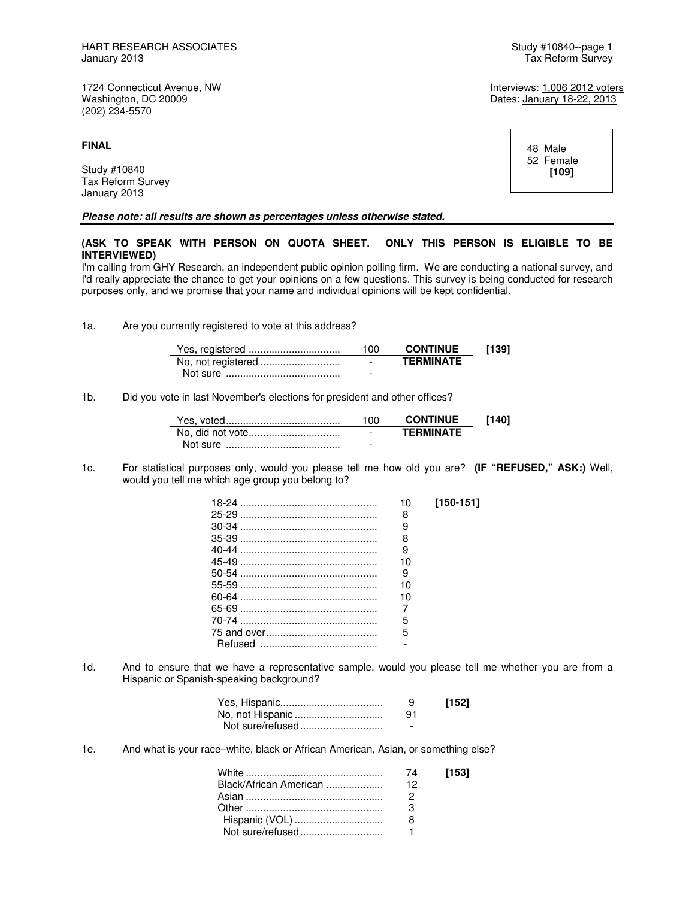1724 Connecticut Avenue, NW **Interviews:** 1,006 2012 voters<br>
Washington, DC 20009 **Interviews: 1,006 2012 voters** (202) 234-5570

**FINAL** 

Study #10840 Tax Reform Survey January 2013

**Please note: all results are shown as percentages unless otherwise stated.** 

# **(ASK TO SPEAK WITH PERSON ON QUOTA SHEET. ONLY THIS PERSON IS ELIGIBLE TO BE INTERVIEWED)**

I'm calling from GHY Research, an independent public opinion polling firm. We are conducting a national survey, and I'd really appreciate the chance to get your opinions on a few questions. This survey is being conducted for research purposes only, and we promise that your name and individual opinions will be kept confidential.

1a. Are you currently registered to vote at this address?

| 100                      | <b>CONTINUE</b>  | [139] |
|--------------------------|------------------|-------|
| $\overline{\phantom{0}}$ | <b>TFRMINATF</b> |       |
|                          |                  |       |

1b. Did you vote in last November's elections for president and other offices?

|                  | 100                      | <b>CONTINUE</b>  | [140] |
|------------------|--------------------------|------------------|-------|
| No, did not vote | $\overline{\phantom{a}}$ | <b>TFRMINATF</b> |       |
|                  | -                        |                  |       |

1c. For statistical purposes only, would you please tell me how old you are? **(IF "REFUSED," ASK:)** Well, would you tell me which age group you belong to?

| 10 | $[150-151]$ |
|----|-------------|
| 8  |             |
| 9  |             |
| 8  |             |
| 9  |             |
| 10 |             |
| 9  |             |
| 10 |             |
| 10 |             |
|    |             |
| 5  |             |
| 5  |             |
|    |             |

1d. And to ensure that we have a representative sample, would you please tell me whether you are from a Hispanic or Spanish-speaking background?

|                  | 9  | [152] |
|------------------|----|-------|
|                  | 91 |       |
| Not sure/refused |    |       |

1e. And what is your race–white, black or African American, Asian, or something else?

|                        |    | [153] |
|------------------------|----|-------|
| Black/African American | 12 |       |
|                        |    |       |
|                        |    |       |
| Hispanic (VOL)         |    |       |
|                        |    |       |

Dates: January 18-22, 2013

 48 Male 52 Female **[109]**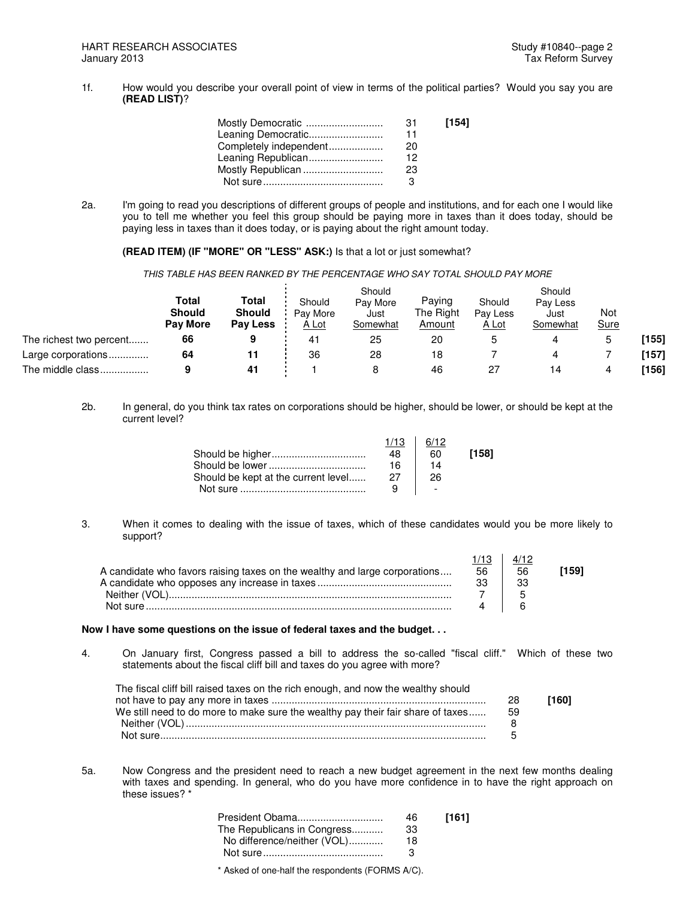1f. How would you describe your overall point of view in terms of the political parties? Would you say you are **(READ LIST)**?

| Mostly Democratic      | -31 | [154] |
|------------------------|-----|-------|
| Leaning Democratic     | 11  |       |
| Completely independent | 20  |       |
| Leaning Republican     | 12  |       |
| Mostly Republican      | 23  |       |
|                        |     |       |

2a. I'm going to read you descriptions of different groups of people and institutions, and for each one I would like you to tell me whether you feel this group should be paying more in taxes than it does today, should be paying less in taxes than it does today, or is paying about the right amount today.

**(READ ITEM) (IF "MORE" OR "LESS" ASK:)** Is that a lot or just somewhat?

THIS TABLE HAS BEEN RANKED BY THE PERCENTAGE WHO SAY TOTAL SHOULD PAY MORE

|                         | Total<br><b>Should</b><br><b>Pay More</b> | Total<br><b>Should</b><br>Pay Less | Should<br>Pav More<br>A Lot | Should<br>Pay More<br>Just<br>Somewhat | Paying<br>The Right<br>Amount | Should<br>Pay Less<br>A Lot | Should<br>Pay Less<br>Just<br>Somewhat | Not<br>Sure |       |
|-------------------------|-------------------------------------------|------------------------------------|-----------------------------|----------------------------------------|-------------------------------|-----------------------------|----------------------------------------|-------------|-------|
| The richest two percent | 66                                        |                                    | 41                          | 25                                     | 20                            |                             |                                        |             | [155] |
| Large corporations      | 64                                        |                                    | 36                          | 28                                     | 18                            |                             |                                        |             | [157] |
| The middle class        |                                           | 41                                 |                             |                                        | 46                            | 27                          | 14                                     |             | [156] |

2b. In general, do you think tax rates on corporations should be higher, should be lower, or should be kept at the current level?

|                                     | 1/13 | 6/12                     |       |
|-------------------------------------|------|--------------------------|-------|
|                                     | 48   | 60                       | [158] |
|                                     | 16   |                          |       |
| Should be kept at the current level | 27   | 26                       |       |
|                                     | q    | $\overline{\phantom{a}}$ |       |
|                                     |      |                          |       |

3. When it comes to dealing with the issue of taxes, which of these candidates would you be more likely to support?

| A candidate who favors raising taxes on the wealthy and large corporations | 56 | 56 | 1591 َ |
|----------------------------------------------------------------------------|----|----|--------|
|                                                                            |    |    |        |
|                                                                            |    |    |        |
|                                                                            |    |    |        |

## **Now I have some questions on the issue of federal taxes and the budget. . .**

4. On January first, Congress passed a bill to address the so-called "fiscal cliff." Which of these two statements about the fiscal cliff bill and taxes do you agree with more?

| The fiscal cliff bill raised taxes on the rich enough, and now the wealthy should |     |       |
|-----------------------------------------------------------------------------------|-----|-------|
|                                                                                   | -28 | [160] |
| We still need to do more to make sure the wealthy pay their fair share of taxes   | -59 |       |
|                                                                                   |     |       |
|                                                                                   |     |       |

5a. Now Congress and the president need to reach a new budget agreement in the next few months dealing with taxes and spending. In general, who do you have more confidence in to have the right approach on these issues? \*

| President Obama             | 46 | [161] |
|-----------------------------|----|-------|
| The Republicans in Congress | 33 |       |
| No difference/neither (VOL) | 18 |       |
|                             |    |       |
|                             |    |       |

\* Asked of one-half the respondents (FORMS A/C).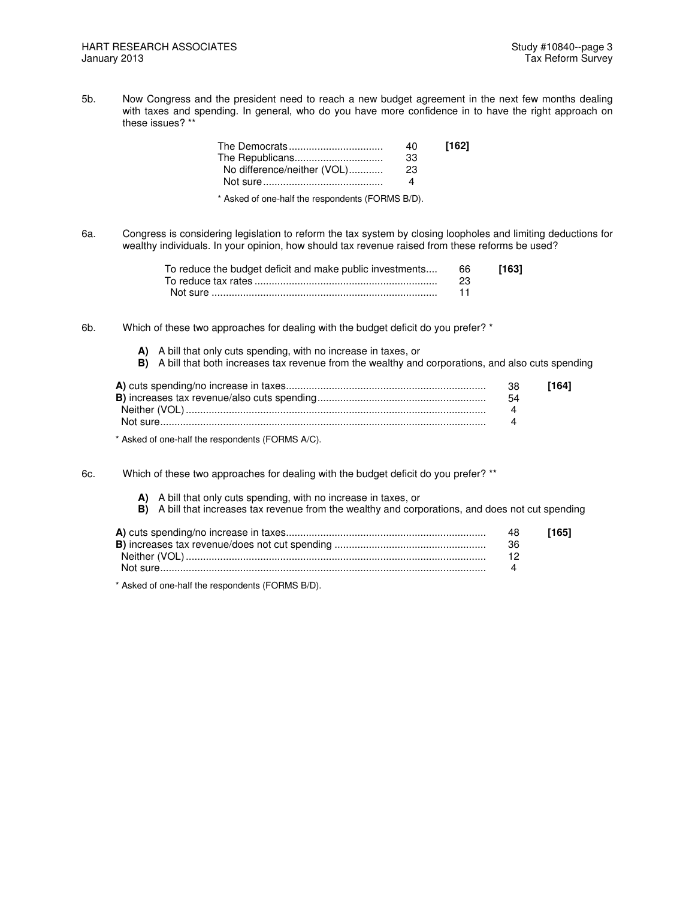5b. Now Congress and the president need to reach a new budget agreement in the next few months dealing with taxes and spending. In general, who do you have more confidence in to have the right approach on these issues? \*\*

| 40. | [162] |
|-----|-------|
| -33 |       |
| 23  |       |
|     |       |
|     |       |

\* Asked of one-half the respondents (FORMS B/D).

6a. Congress is considering legislation to reform the tax system by closing loopholes and limiting deductions for wealthy individuals. In your opinion, how should tax revenue raised from these reforms be used?

| To reduce the budget deficit and make public investments 66 |     | [163] |
|-------------------------------------------------------------|-----|-------|
|                                                             | -23 |       |
|                                                             |     |       |

6b. Which of these two approaches for dealing with the budget deficit do you prefer? \*

- **A)** A bill that only cuts spending, with no increase in taxes, or
- **B)** A bill that both increases tax revenue from the wealthy and corporations, and also cuts spending

| 38 | [164] |
|----|-------|
| 54 |       |
|    |       |
|    |       |
|    |       |

\* Asked of one-half the respondents (FORMS A/C).

6c. Which of these two approaches for dealing with the budget deficit do you prefer? \*\*

- **A)** A bill that only cuts spending, with no increase in taxes, or
- **B)** A bill that increases tax revenue from the wealthy and corporations, and does not cut spending

| 48. | [165] |
|-----|-------|
|     |       |
|     |       |
|     |       |

\* Asked of one-half the respondents (FORMS B/D).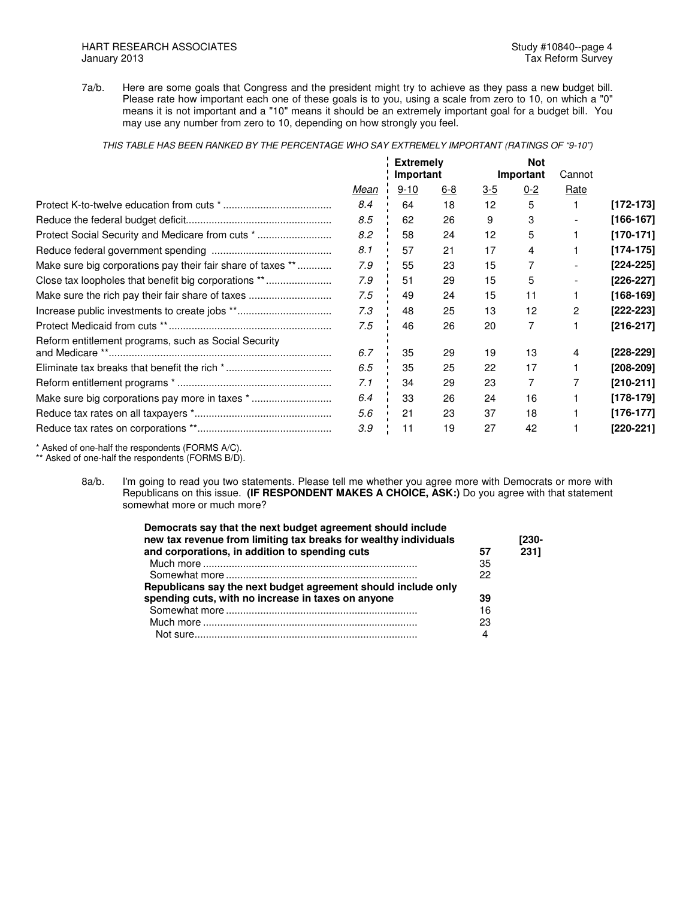7a/b. Here are some goals that Congress and the president might try to achieve as they pass a new budget bill. Please rate how important each one of these goals is to you, using a scale from zero to 10, on which a "0" means it is not important and a "10" means it should be an extremely important goal for a budget bill. You may use any number from zero to 10, depending on how strongly you feel.

THIS TABLE HAS BEEN RANKED BY THE PERCENTAGE WHO SAY EXTREMELY IMPORTANT (RATINGS OF "9-10")

|                                                             |      | <b>Extremely</b> |            |            |           | <b>Not</b> |             |  |  |
|-------------------------------------------------------------|------|------------------|------------|------------|-----------|------------|-------------|--|--|
|                                                             |      | Important        |            |            | Important | Cannot     |             |  |  |
|                                                             | Mean | $9 - 10$         | <u>6-8</u> | <u>3-5</u> | $0 - 2$   | Rate       |             |  |  |
|                                                             | 8.4  | 64               | 18         | 12         | 5         |            | $[172-173]$ |  |  |
|                                                             | 8.5  | 62               | 26         | 9          | 3         |            | $[166-167]$ |  |  |
| Protect Social Security and Medicare from cuts *            | 8.2  | 58               | 24         | 12         | 5         |            | $[170-171]$ |  |  |
|                                                             | 8.1  | 57               | 21         | 17         | 4         |            | $[174-175]$ |  |  |
| Make sure big corporations pay their fair share of taxes ** | 7.9  | 55               | 23         | 15         | 7         |            | $[224-225]$ |  |  |
| Close tax loopholes that benefit big corporations **        | 7.9  | 51               | 29         | 15         | 5         |            | [226-227]   |  |  |
| Make sure the rich pay their fair share of taxes            | 7.5  | 49               | 24         | 15         | 11        |            | $[168-169]$ |  |  |
|                                                             | 7.3  | 48               | 25         | 13         | 12        | 2          | $[222-223]$ |  |  |
|                                                             | 7.5  | 46               | 26         | 20         | 7         |            | $[216-217]$ |  |  |
| Reform entitlement programs, such as Social Security        |      |                  |            |            |           |            |             |  |  |
|                                                             | 6.7  | 35               | 29         | 19         | 13        | 4          | [228-229]   |  |  |
|                                                             | 6.5  | 35               | 25         | 22         | 17        |            | [208-209]   |  |  |
|                                                             | 7.1  | 34               | 29         | 23         | 7         |            | $[210-211]$ |  |  |
| Make sure big corporations pay more in taxes *              | 6.4  | 33               | 26         | 24         | 16        |            | $[178-179]$ |  |  |
|                                                             | 5.6  | 21               | 23         | 37         | 18        |            | $[176-177]$ |  |  |
|                                                             | 3.9  | 11               | 19         | 27         | 42        |            | [220-221]   |  |  |
|                                                             |      |                  |            |            |           |            |             |  |  |

\* Asked of one-half the respondents (FORMS A/C).

\*\* Asked of one-half the respondents (FORMS B/D).

8a/b. I'm going to read you two statements. Please tell me whether you agree more with Democrats or more with Republicans on this issue. **(IF RESPONDENT MAKES A CHOICE, ASK:)** Do you agree with that statement somewhat more or much more?

| Democrats say that the next budget agreement should include      |    |       |
|------------------------------------------------------------------|----|-------|
| new tax revenue from limiting tax breaks for wealthy individuals |    | [230- |
| and corporations, in addition to spending cuts                   | 57 | 2311  |
|                                                                  | 35 |       |
|                                                                  | 22 |       |
| Republicans say the next budget agreement should include only    |    |       |
| spending cuts, with no increase in taxes on anyone               | 39 |       |
|                                                                  | 16 |       |
|                                                                  | 23 |       |
|                                                                  | 4  |       |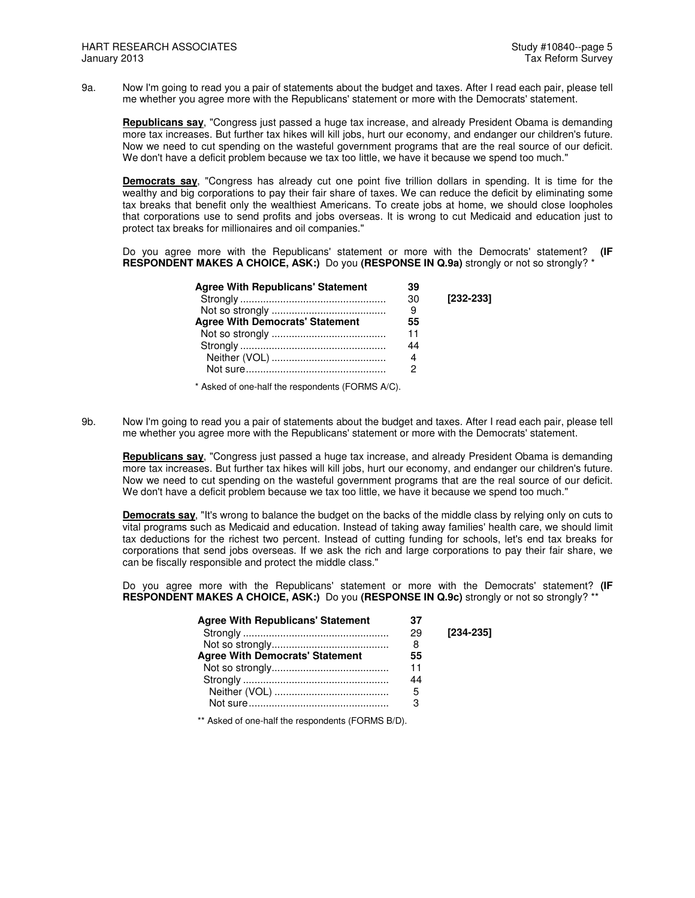9a. Now I'm going to read you a pair of statements about the budget and taxes. After I read each pair, please tell me whether you agree more with the Republicans' statement or more with the Democrats' statement.

**Republicans say**, "Congress just passed a huge tax increase, and already President Obama is demanding more tax increases. But further tax hikes will kill jobs, hurt our economy, and endanger our children's future. Now we need to cut spending on the wasteful government programs that are the real source of our deficit. We don't have a deficit problem because we tax too little, we have it because we spend too much."

**Democrats say**, "Congress has already cut one point five trillion dollars in spending. It is time for the wealthy and big corporations to pay their fair share of taxes. We can reduce the deficit by eliminating some tax breaks that benefit only the wealthiest Americans. To create jobs at home, we should close loopholes that corporations use to send profits and jobs overseas. It is wrong to cut Medicaid and education just to protect tax breaks for millionaires and oil companies."

Do you agree more with the Republicans' statement or more with the Democrats' statement? **(IF RESPONDENT MAKES A CHOICE, ASK:)** Do you (RESPONSE IN Q.9a) strongly or not so strongly? \*

| <b>Agree With Republicans' Statement</b> | 39 |             |
|------------------------------------------|----|-------------|
|                                          | 30 | $[232-233]$ |
|                                          | 9  |             |
| <b>Agree With Democrats' Statement</b>   | 55 |             |
|                                          | 11 |             |
|                                          | 44 |             |
|                                          | 4  |             |
|                                          |    |             |

\* Asked of one-half the respondents (FORMS A/C).

9b. Now I'm going to read you a pair of statements about the budget and taxes. After I read each pair, please tell me whether you agree more with the Republicans' statement or more with the Democrats' statement.

**Republicans say**, "Congress just passed a huge tax increase, and already President Obama is demanding more tax increases. But further tax hikes will kill jobs, hurt our economy, and endanger our children's future. Now we need to cut spending on the wasteful government programs that are the real source of our deficit. We don't have a deficit problem because we tax too little, we have it because we spend too much."

**Democrats say**, "It's wrong to balance the budget on the backs of the middle class by relying only on cuts to vital programs such as Medicaid and education. Instead of taking away families' health care, we should limit tax deductions for the richest two percent. Instead of cutting funding for schools, let's end tax breaks for corporations that send jobs overseas. If we ask the rich and large corporations to pay their fair share, we can be fiscally responsible and protect the middle class."

Do you agree more with the Republicans' statement or more with the Democrats' statement? **(IF RESPONDENT MAKES A CHOICE, ASK:)** Do you **(RESPONSE IN Q.9c)** strongly or not so strongly? \*\*

| <b>Agree With Republicans' Statement</b> | 37 |           |
|------------------------------------------|----|-----------|
|                                          | 29 | [234-235] |
|                                          | 8  |           |
| <b>Agree With Democrats' Statement</b>   | 55 |           |
|                                          | 11 |           |
|                                          | 44 |           |
|                                          | 5  |           |
|                                          |    |           |

\*\* Asked of one-half the respondents (FORMS B/D).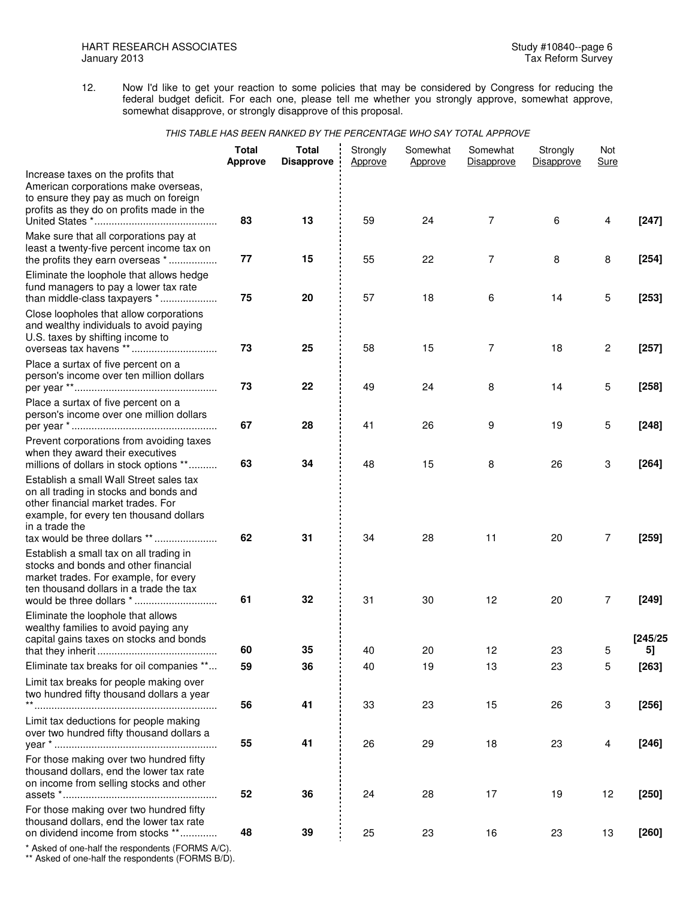12. Now I'd like to get your reaction to some policies that may be considered by Congress for reducing the federal budget deficit. For each one, please tell me whether you strongly approve, somewhat approve, somewhat disapprove, or strongly disapprove of this proposal.

|                                                                                                                                                                                                                       | <b>Total</b><br><b>Approve</b> | <b>Total</b><br><b>Disapprove</b> | Strongly<br>Approve | Somewhat<br>Approve | Somewhat<br>Disapprove | Strongly<br><b>Disapprove</b> | Not<br><b>Sure</b> |                    |
|-----------------------------------------------------------------------------------------------------------------------------------------------------------------------------------------------------------------------|--------------------------------|-----------------------------------|---------------------|---------------------|------------------------|-------------------------------|--------------------|--------------------|
| Increase taxes on the profits that<br>American corporations make overseas,<br>to ensure they pay as much on foreign<br>profits as they do on profits made in the                                                      | 83                             | 13                                | 59                  | 24                  | 7                      | 6                             | 4                  | $[247]$            |
| Make sure that all corporations pay at<br>least a twenty-five percent income tax on<br>the profits they earn overseas *                                                                                               | 77                             | 15                                | 55                  | 22                  | 7                      | 8                             | 8                  | $[254]$            |
| Eliminate the loophole that allows hedge<br>fund managers to pay a lower tax rate<br>than middle-class taxpayers *                                                                                                    | 75                             | 20                                | 57                  | 18                  | 6                      | 14                            | 5                  | $[253]$            |
| Close loopholes that allow corporations<br>and wealthy individuals to avoid paying<br>U.S. taxes by shifting income to<br>overseas tax havens **                                                                      | 73                             | 25                                | 58                  | 15                  | 7                      | 18                            | $\overline{c}$     | $[257]$            |
| Place a surtax of five percent on a<br>person's income over ten million dollars                                                                                                                                       | 73                             | 22                                | 49                  | 24                  | 8                      | 14                            | 5                  | $[258]$            |
| Place a surtax of five percent on a<br>person's income over one million dollars                                                                                                                                       | 67                             | 28                                | 41                  | 26                  | 9                      | 19                            | 5                  | $[248]$            |
| Prevent corporations from avoiding taxes<br>when they award their executives<br>millions of dollars in stock options **                                                                                               | 63                             | 34                                | 48                  | 15                  | 8                      | 26                            | 3                  | $[264]$            |
| Establish a small Wall Street sales tax<br>on all trading in stocks and bonds and<br>other financial market trades. For<br>example, for every ten thousand dollars<br>in a trade the<br>tax would be three dollars ** | 62                             | 31                                | 34                  | 28                  | 11                     | 20                            | 7                  | $[259]$            |
| Establish a small tax on all trading in<br>stocks and bonds and other financial<br>market trades. For example, for every<br>ten thousand dollars in a trade the tax                                                   | 61                             | 32                                | 31                  | 30                  | 12                     | 20                            | 7                  | $[249]$            |
| Eliminate the loophole that allows<br>wealthy families to avoid paying any<br>capital gains taxes on stocks and bonds                                                                                                 |                                |                                   |                     |                     |                        |                               |                    | [245/25]           |
| Eliminate tax breaks for oil companies **                                                                                                                                                                             | 60<br>59                       | 35<br>36                          | 40<br>40            | 20<br>19            | 12<br>13               | 23<br>23                      | 5<br>5             | ы                  |
| Limit tax breaks for people making over<br>two hundred fifty thousand dollars a year                                                                                                                                  | 56                             | 41                                | 33                  | 23                  | 15                     | 26                            | 3                  | $[263]$<br>$[256]$ |
| Limit tax deductions for people making<br>over two hundred fifty thousand dollars a                                                                                                                                   | 55                             | 41                                | 26                  | 29                  | 18                     | 23                            | 4                  | $[246]$            |
| For those making over two hundred fifty<br>thousand dollars, end the lower tax rate<br>on income from selling stocks and other                                                                                        | 52                             | 36                                | 24                  | 28                  | 17                     | 19                            | 12                 | $[250]$            |
| For those making over two hundred fifty<br>thousand dollars, end the lower tax rate<br>on dividend income from stocks **<br>* Asked of one-half the respondents (FORMS A/C)                                           | 48                             | 39                                | 25                  | 23                  | 16                     | 23                            | 13                 | $[260]$            |

of one-half the respondents (F

\*\* Asked of one-half the respondents (FORMS B/D).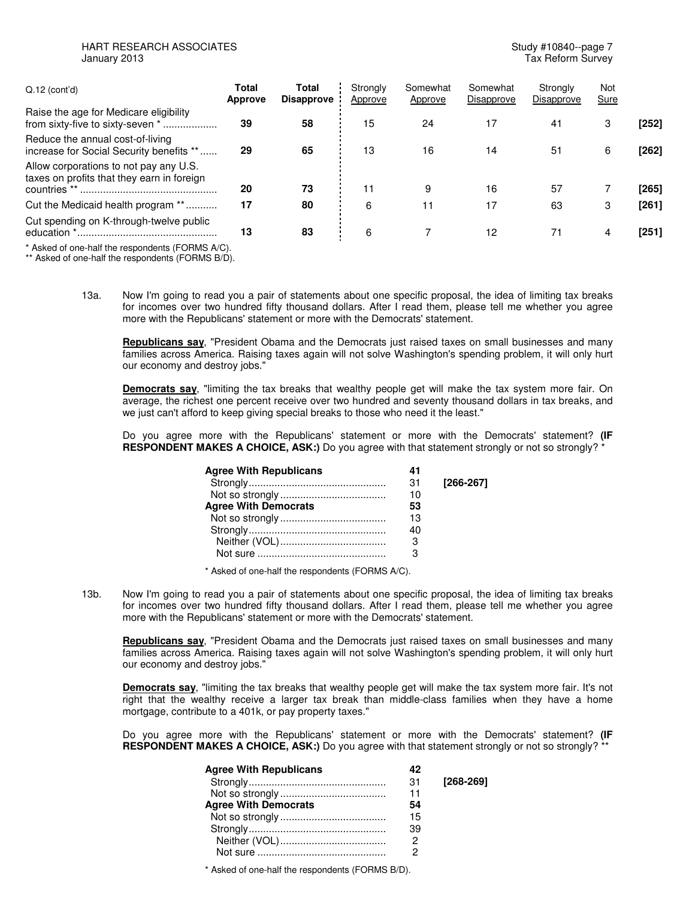## HART RESEARCH ASSOCIATES **Study #10840--page 7** January 2013 Tax Reform Survey

| $Q.12$ (cont'd)                                                                      | Total<br><b>Approve</b> | Total<br><b>Disapprove</b> | Strongly<br>Approve | Somewhat<br>Approve | Somewhat<br>Disapprove | Strongly<br>Disapprove | <b>Not</b><br>Sure |         |
|--------------------------------------------------------------------------------------|-------------------------|----------------------------|---------------------|---------------------|------------------------|------------------------|--------------------|---------|
| Raise the age for Medicare eligibility<br>from sixty-five to sixty-seven *           | 39                      | 58                         | 15                  | 24                  | 17                     | 41                     | 3                  | $[252]$ |
| Reduce the annual cost-of-living<br>increase for Social Security benefits **         | 29                      | 65                         | 13                  | 16                  | 14                     | 51                     | 6                  | [262]   |
| Allow corporations to not pay any U.S.<br>taxes on profits that they earn in foreign | 20                      | 73                         |                     | 9                   | 16                     | 57                     |                    | [265]   |
| Cut the Medicaid health program **                                                   | 17                      | 80                         | 6                   | 11                  | 17                     | 63                     | 3                  | $[261]$ |
| Cut spending on K-through-twelve public                                              | 13                      | 83                         | 6                   |                     | 12                     | 71                     | 4                  | [251]   |
| * Asked of one-half the respondents (FORMS A/C).                                     |                         |                            |                     |                     |                        |                        |                    |         |

\*\* Asked of one-half the respondents (FORMS B/D).

13a. Now I'm going to read you a pair of statements about one specific proposal, the idea of limiting tax breaks for incomes over two hundred fifty thousand dollars. After I read them, please tell me whether you agree more with the Republicans' statement or more with the Democrats' statement.

**Republicans say**, "President Obama and the Democrats just raised taxes on small businesses and many families across America. Raising taxes again will not solve Washington's spending problem, it will only hurt our economy and destroy jobs."

**Democrats say**, "limiting the tax breaks that wealthy people get will make the tax system more fair. On average, the richest one percent receive over two hundred and seventy thousand dollars in tax breaks, and we just can't afford to keep giving special breaks to those who need it the least."

Do you agree more with the Republicans' statement or more with the Democrats' statement? **(IF RESPONDENT MAKES A CHOICE, ASK:)** Do you agree with that statement strongly or not so strongly? \*

| <b>Agree With Republicans</b> | 41 |             |
|-------------------------------|----|-------------|
|                               | 31 | $[266-267]$ |
|                               | 10 |             |
| <b>Agree With Democrats</b>   | 53 |             |
|                               | 13 |             |
|                               | 40 |             |
|                               |    |             |
|                               |    |             |

\* Asked of one-half the respondents (FORMS A/C).

13b. Now I'm going to read you a pair of statements about one specific proposal, the idea of limiting tax breaks for incomes over two hundred fifty thousand dollars. After I read them, please tell me whether you agree more with the Republicans' statement or more with the Democrats' statement.

**Republicans say**, "President Obama and the Democrats just raised taxes on small businesses and many families across America. Raising taxes again will not solve Washington's spending problem, it will only hurt our economy and destroy jobs."

**Democrats say**, "limiting the tax breaks that wealthy people get will make the tax system more fair. It's not right that the wealthy receive a larger tax break than middle-class families when they have a home mortgage, contribute to a 401k, or pay property taxes."

Do you agree more with the Republicans' statement or more with the Democrats' statement? **(IF RESPONDENT MAKES A CHOICE, ASK:)** Do you agree with that statement strongly or not so strongly? \*\*

| <b>Agree With Republicans</b> | 42 |           |
|-------------------------------|----|-----------|
|                               | 31 | [268-269] |
|                               | 11 |           |
| <b>Agree With Democrats</b>   | 54 |           |
|                               | 15 |           |
|                               | 39 |           |
|                               |    |           |
|                               |    |           |

\* Asked of one-half the respondents (FORMS B/D).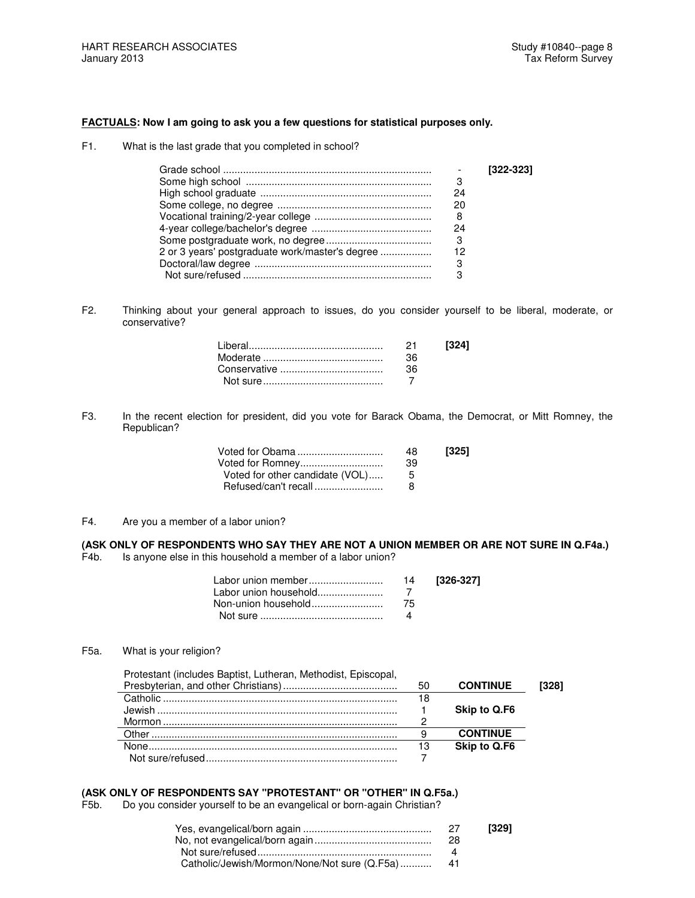### **FACTUALS: Now I am going to ask you a few questions for statistical purposes only.**

F1. What is the last grade that you completed in school?

|                                                 |    | $[322-323]$ |
|-------------------------------------------------|----|-------------|
|                                                 | З  |             |
|                                                 | 24 |             |
|                                                 | 20 |             |
|                                                 | 8  |             |
|                                                 | 24 |             |
|                                                 | 3  |             |
| 2 or 3 years' postgraduate work/master's degree | 12 |             |
|                                                 | З  |             |
|                                                 |    |             |

F2. Thinking about your general approach to issues, do you consider yourself to be liberal, moderate, or conservative?

| 21   | 13241 |
|------|-------|
| -36- |       |
| -36- |       |
|      |       |

F3. In the recent election for president, did you vote for Barack Obama, the Democrat, or Mitt Romney, the Republican?

| Voted for Obama                 | 48 | $[325]$ |
|---------------------------------|----|---------|
| Voted for Romney                | 39 |         |
| Voted for other candidate (VOL) | h  |         |
| Refused/can't recall            | я  |         |

F4. Are you a member of a labor union?

**(ASK ONLY OF RESPONDENTS WHO SAY THEY ARE NOT A UNION MEMBER OR ARE NOT SURE IN Q.F4a.)** F4b. Is anyone else in this household a member of a labor union?

|  | [326-327] |
|--|-----------|
|  |           |
|  |           |
|  |           |

## F5a. What is your religion?

| Protestant (includes Baptist, Lutheran, Methodist, Episcopal, |    |                 |      |
|---------------------------------------------------------------|----|-----------------|------|
|                                                               | 50 | <b>CONTINUE</b> | 3281 |
|                                                               | 18 |                 |      |
| . lewish                                                      |    | Skip to Q.F6    |      |
|                                                               |    |                 |      |
| . Other                                                       | a  | <b>CONTINUE</b> |      |
|                                                               | 13 | Skip to Q.F6    |      |
|                                                               |    |                 |      |

## **(ASK ONLY OF RESPONDENTS SAY "PROTESTANT" OR "OTHER" IN Q.F5a.)**

F5b. Do you consider yourself to be an evangelical or born-again Christian?

| 27  | [329] |
|-----|-------|
| -28 |       |
|     |       |
|     |       |